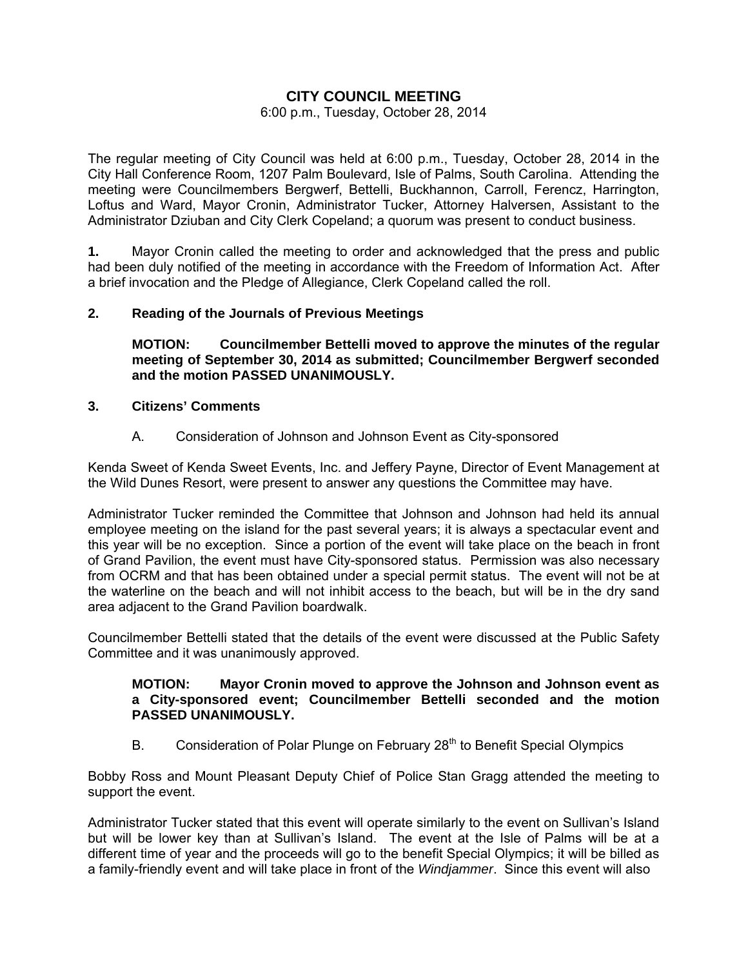# **CITY COUNCIL MEETING**

### 6:00 p.m., Tuesday, October 28, 2014

The regular meeting of City Council was held at 6:00 p.m., Tuesday, October 28, 2014 in the City Hall Conference Room, 1207 Palm Boulevard, Isle of Palms, South Carolina. Attending the meeting were Councilmembers Bergwerf, Bettelli, Buckhannon, Carroll, Ferencz, Harrington, Loftus and Ward, Mayor Cronin, Administrator Tucker, Attorney Halversen, Assistant to the Administrator Dziuban and City Clerk Copeland; a quorum was present to conduct business.

**1.** Mayor Cronin called the meeting to order and acknowledged that the press and public had been duly notified of the meeting in accordance with the Freedom of Information Act. After a brief invocation and the Pledge of Allegiance, Clerk Copeland called the roll.

# **2. Reading of the Journals of Previous Meetings**

 **MOTION: Councilmember Bettelli moved to approve the minutes of the regular meeting of September 30, 2014 as submitted; Councilmember Bergwerf seconded and the motion PASSED UNANIMOUSLY.** 

## **3. Citizens' Comments**

# A. Consideration of Johnson and Johnson Event as City-sponsored

Kenda Sweet of Kenda Sweet Events, Inc. and Jeffery Payne, Director of Event Management at the Wild Dunes Resort, were present to answer any questions the Committee may have.

Administrator Tucker reminded the Committee that Johnson and Johnson had held its annual employee meeting on the island for the past several years; it is always a spectacular event and this year will be no exception. Since a portion of the event will take place on the beach in front of Grand Pavilion, the event must have City-sponsored status. Permission was also necessary from OCRM and that has been obtained under a special permit status. The event will not be at the waterline on the beach and will not inhibit access to the beach, but will be in the dry sand area adjacent to the Grand Pavilion boardwalk.

Councilmember Bettelli stated that the details of the event were discussed at the Public Safety Committee and it was unanimously approved.

## **MOTION: Mayor Cronin moved to approve the Johnson and Johnson event as a City-sponsored event; Councilmember Bettelli seconded and the motion PASSED UNANIMOUSLY.**

B. Consideration of Polar Plunge on February 28<sup>th</sup> to Benefit Special Olympics

Bobby Ross and Mount Pleasant Deputy Chief of Police Stan Gragg attended the meeting to support the event.

Administrator Tucker stated that this event will operate similarly to the event on Sullivan's Island but will be lower key than at Sullivan's Island. The event at the Isle of Palms will be at a different time of year and the proceeds will go to the benefit Special Olympics; it will be billed as a family-friendly event and will take place in front of the *Windjammer*. Since this event will also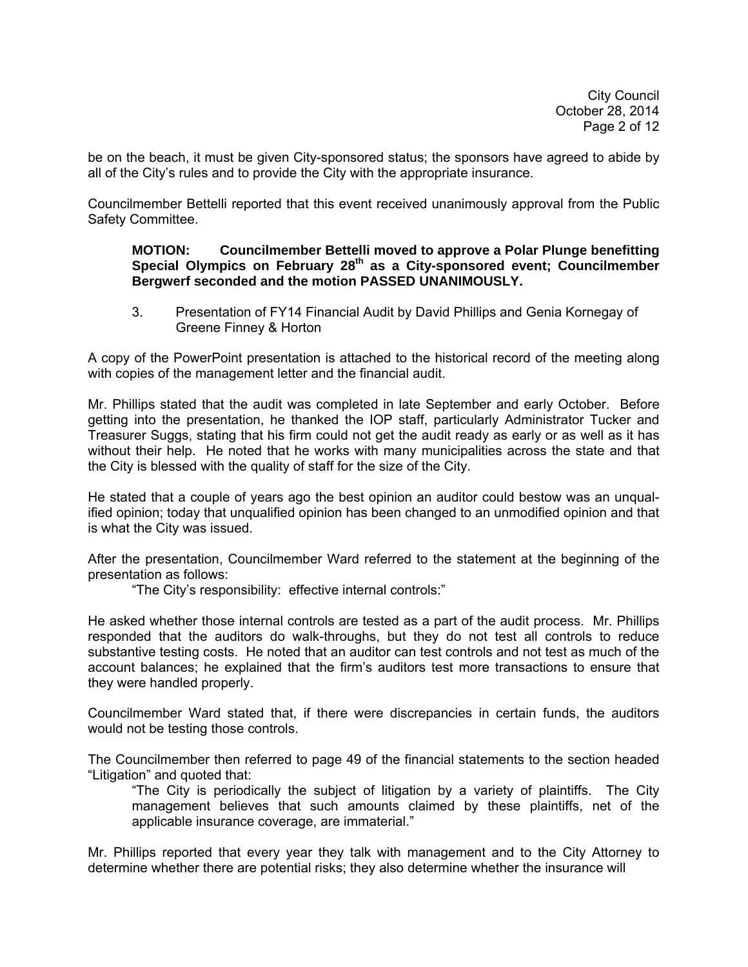be on the beach, it must be given City-sponsored status; the sponsors have agreed to abide by all of the City's rules and to provide the City with the appropriate insurance.

Councilmember Bettelli reported that this event received unanimously approval from the Public Safety Committee.

### **MOTION: Councilmember Bettelli moved to approve a Polar Plunge benefitting Special Olympics on February 28th as a City-sponsored event; Councilmember Bergwerf seconded and the motion PASSED UNANIMOUSLY.**

3. Presentation of FY14 Financial Audit by David Phillips and Genia Kornegay of Greene Finney & Horton

A copy of the PowerPoint presentation is attached to the historical record of the meeting along with copies of the management letter and the financial audit.

Mr. Phillips stated that the audit was completed in late September and early October. Before getting into the presentation, he thanked the IOP staff, particularly Administrator Tucker and Treasurer Suggs, stating that his firm could not get the audit ready as early or as well as it has without their help. He noted that he works with many municipalities across the state and that the City is blessed with the quality of staff for the size of the City.

He stated that a couple of years ago the best opinion an auditor could bestow was an unqualified opinion; today that unqualified opinion has been changed to an unmodified opinion and that is what the City was issued.

After the presentation, Councilmember Ward referred to the statement at the beginning of the presentation as follows:

"The City's responsibility: effective internal controls:"

He asked whether those internal controls are tested as a part of the audit process. Mr. Phillips responded that the auditors do walk-throughs, but they do not test all controls to reduce substantive testing costs. He noted that an auditor can test controls and not test as much of the account balances; he explained that the firm's auditors test more transactions to ensure that they were handled properly.

Councilmember Ward stated that, if there were discrepancies in certain funds, the auditors would not be testing those controls.

The Councilmember then referred to page 49 of the financial statements to the section headed "Litigation" and quoted that:

 "The City is periodically the subject of litigation by a variety of plaintiffs. The City management believes that such amounts claimed by these plaintiffs, net of the applicable insurance coverage, are immaterial."

Mr. Phillips reported that every year they talk with management and to the City Attorney to determine whether there are potential risks; they also determine whether the insurance will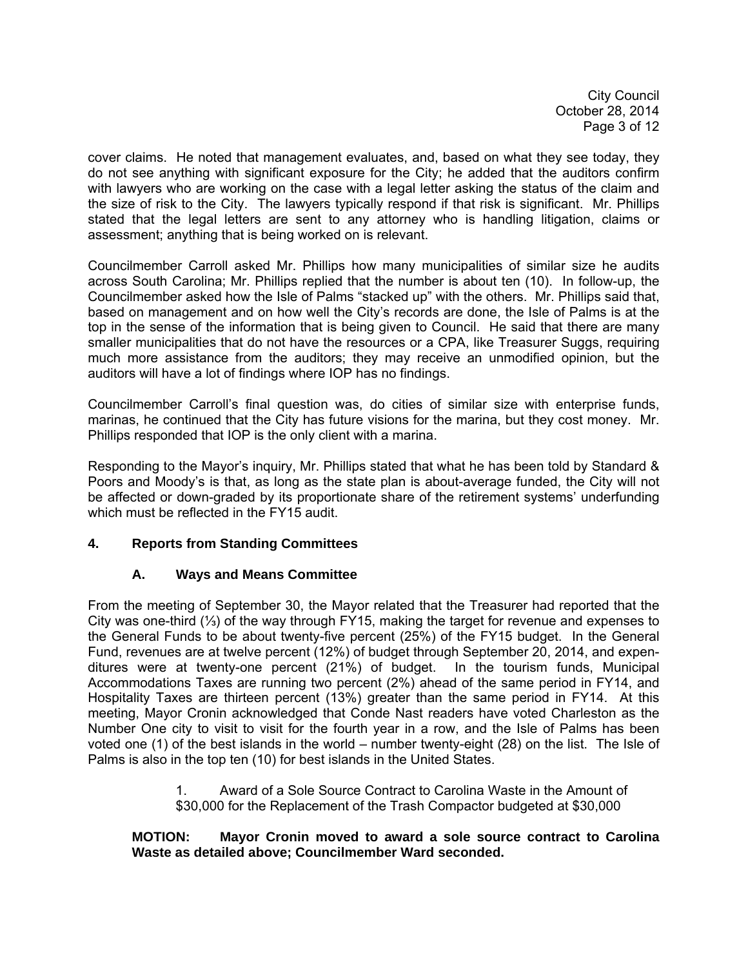City Council October 28, 2014 Page 3 of 12

cover claims. He noted that management evaluates, and, based on what they see today, they do not see anything with significant exposure for the City; he added that the auditors confirm with lawyers who are working on the case with a legal letter asking the status of the claim and the size of risk to the City. The lawyers typically respond if that risk is significant. Mr. Phillips stated that the legal letters are sent to any attorney who is handling litigation, claims or assessment; anything that is being worked on is relevant.

Councilmember Carroll asked Mr. Phillips how many municipalities of similar size he audits across South Carolina; Mr. Phillips replied that the number is about ten (10). In follow-up, the Councilmember asked how the Isle of Palms "stacked up" with the others. Mr. Phillips said that, based on management and on how well the City's records are done, the Isle of Palms is at the top in the sense of the information that is being given to Council. He said that there are many smaller municipalities that do not have the resources or a CPA, like Treasurer Suggs, requiring much more assistance from the auditors; they may receive an unmodified opinion, but the auditors will have a lot of findings where IOP has no findings.

Councilmember Carroll's final question was, do cities of similar size with enterprise funds, marinas, he continued that the City has future visions for the marina, but they cost money. Mr. Phillips responded that IOP is the only client with a marina.

Responding to the Mayor's inquiry, Mr. Phillips stated that what he has been told by Standard & Poors and Moody's is that, as long as the state plan is about-average funded, the City will not be affected or down-graded by its proportionate share of the retirement systems' underfunding which must be reflected in the FY15 audit.

# **4. Reports from Standing Committees**

# **A. Ways and Means Committee**

From the meeting of September 30, the Mayor related that the Treasurer had reported that the City was one-third (⅓) of the way through FY15, making the target for revenue and expenses to the General Funds to be about twenty-five percent (25%) of the FY15 budget. In the General Fund, revenues are at twelve percent (12%) of budget through September 20, 2014, and expenditures were at twenty-one percent (21%) of budget. In the tourism funds, Municipal Accommodations Taxes are running two percent (2%) ahead of the same period in FY14, and Hospitality Taxes are thirteen percent (13%) greater than the same period in FY14. At this meeting, Mayor Cronin acknowledged that Conde Nast readers have voted Charleston as the Number One city to visit to visit for the fourth year in a row, and the Isle of Palms has been voted one (1) of the best islands in the world – number twenty-eight (28) on the list. The Isle of Palms is also in the top ten (10) for best islands in the United States.

> 1. Award of a Sole Source Contract to Carolina Waste in the Amount of \$30,000 for the Replacement of the Trash Compactor budgeted at \$30,000

# **MOTION: Mayor Cronin moved to award a sole source contract to Carolina Waste as detailed above; Councilmember Ward seconded.**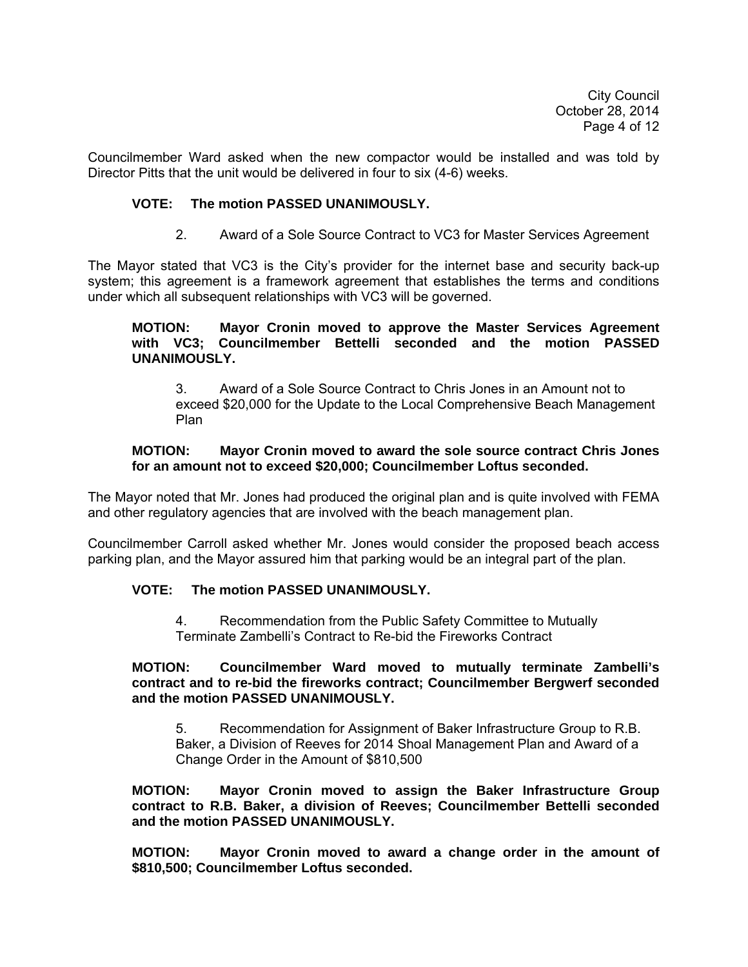City Council October 28, 2014 Page 4 of 12

Councilmember Ward asked when the new compactor would be installed and was told by Director Pitts that the unit would be delivered in four to six (4-6) weeks.

## **VOTE: The motion PASSED UNANIMOUSLY.**

2. Award of a Sole Source Contract to VC3 for Master Services Agreement

The Mayor stated that VC3 is the City's provider for the internet base and security back-up system; this agreement is a framework agreement that establishes the terms and conditions under which all subsequent relationships with VC3 will be governed.

#### **MOTION: Mayor Cronin moved to approve the Master Services Agreement with VC3; Councilmember Bettelli seconded and the motion PASSED UNANIMOUSLY.**

3. Award of a Sole Source Contract to Chris Jones in an Amount not to exceed \$20,000 for the Update to the Local Comprehensive Beach Management Plan

### **MOTION: Mayor Cronin moved to award the sole source contract Chris Jones for an amount not to exceed \$20,000; Councilmember Loftus seconded.**

The Mayor noted that Mr. Jones had produced the original plan and is quite involved with FEMA and other regulatory agencies that are involved with the beach management plan.

Councilmember Carroll asked whether Mr. Jones would consider the proposed beach access parking plan, and the Mayor assured him that parking would be an integral part of the plan.

#### **VOTE: The motion PASSED UNANIMOUSLY.**

 4. Recommendation from the Public Safety Committee to Mutually Terminate Zambelli's Contract to Re-bid the Fireworks Contract

#### **MOTION: Councilmember Ward moved to mutually terminate Zambelli's contract and to re-bid the fireworks contract; Councilmember Bergwerf seconded and the motion PASSED UNANIMOUSLY.**

5. Recommendation for Assignment of Baker Infrastructure Group to R.B. Baker, a Division of Reeves for 2014 Shoal Management Plan and Award of a Change Order in the Amount of \$810,500

**MOTION: Mayor Cronin moved to assign the Baker Infrastructure Group contract to R.B. Baker, a division of Reeves; Councilmember Bettelli seconded and the motion PASSED UNANIMOUSLY.** 

**MOTION: Mayor Cronin moved to award a change order in the amount of \$810,500; Councilmember Loftus seconded.**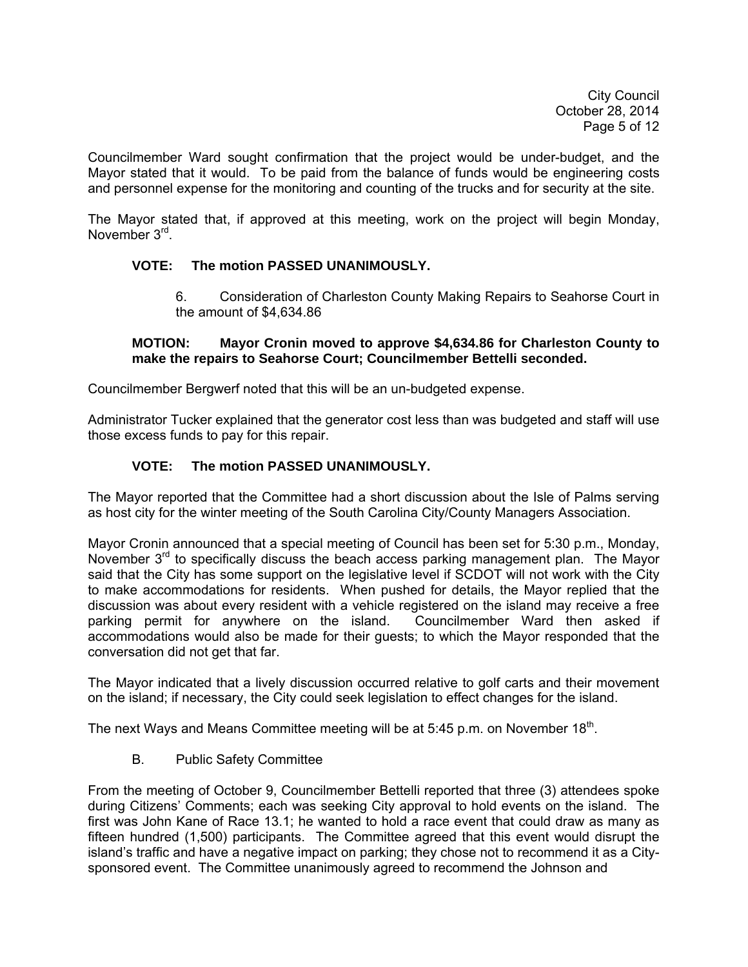City Council October 28, 2014 Page 5 of 12

Councilmember Ward sought confirmation that the project would be under-budget, and the Mayor stated that it would. To be paid from the balance of funds would be engineering costs and personnel expense for the monitoring and counting of the trucks and for security at the site.

The Mayor stated that, if approved at this meeting, work on the project will begin Monday, November 3<sup>rd</sup>.

# **VOTE: The motion PASSED UNANIMOUSLY.**

6. Consideration of Charleston County Making Repairs to Seahorse Court in the amount of \$4,634.86

## **MOTION: Mayor Cronin moved to approve \$4,634.86 for Charleston County to make the repairs to Seahorse Court; Councilmember Bettelli seconded.**

Councilmember Bergwerf noted that this will be an un-budgeted expense.

Administrator Tucker explained that the generator cost less than was budgeted and staff will use those excess funds to pay for this repair.

# **VOTE: The motion PASSED UNANIMOUSLY.**

The Mayor reported that the Committee had a short discussion about the Isle of Palms serving as host city for the winter meeting of the South Carolina City/County Managers Association.

Mayor Cronin announced that a special meeting of Council has been set for 5:30 p.m., Monday, November  $3<sup>rd</sup>$  to specifically discuss the beach access parking management plan. The Mayor said that the City has some support on the legislative level if SCDOT will not work with the City to make accommodations for residents. When pushed for details, the Mayor replied that the discussion was about every resident with a vehicle registered on the island may receive a free parking permit for anywhere on the island. Councilmember Ward then asked if accommodations would also be made for their guests; to which the Mayor responded that the conversation did not get that far.

The Mayor indicated that a lively discussion occurred relative to golf carts and their movement on the island; if necessary, the City could seek legislation to effect changes for the island.

The next Ways and Means Committee meeting will be at 5:45 p.m. on November 18<sup>th</sup>.

B. Public Safety Committee

From the meeting of October 9, Councilmember Bettelli reported that three (3) attendees spoke during Citizens' Comments; each was seeking City approval to hold events on the island. The first was John Kane of Race 13.1; he wanted to hold a race event that could draw as many as fifteen hundred (1,500) participants. The Committee agreed that this event would disrupt the island's traffic and have a negative impact on parking; they chose not to recommend it as a Citysponsored event. The Committee unanimously agreed to recommend the Johnson and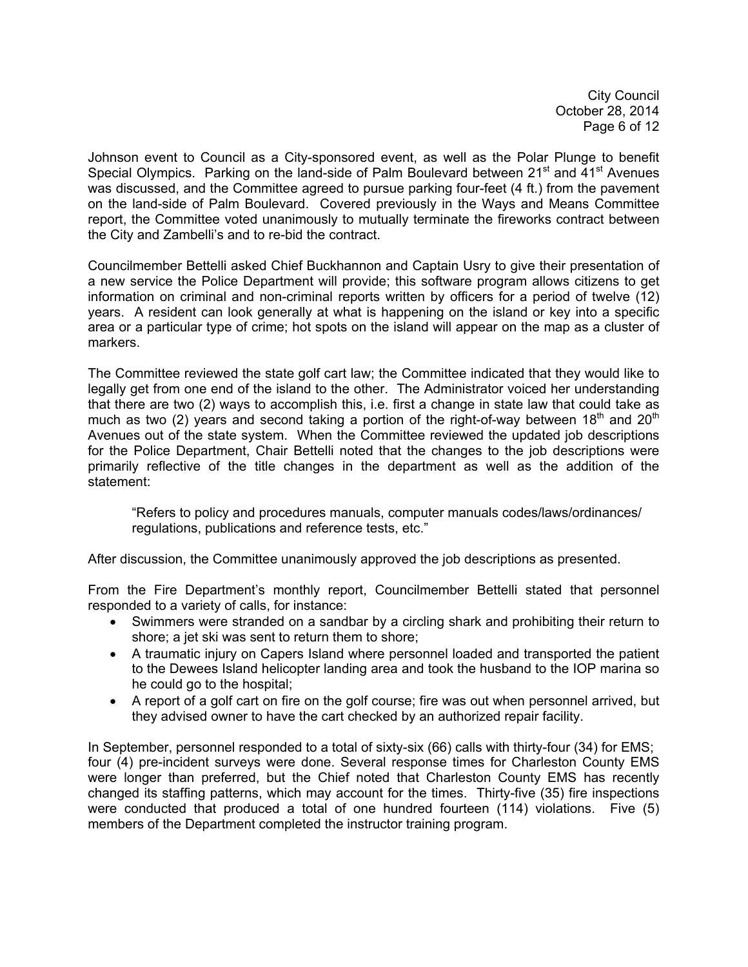City Council October 28, 2014 Page 6 of 12

Johnson event to Council as a City-sponsored event, as well as the Polar Plunge to benefit Special Olympics. Parking on the land-side of Palm Boulevard between 21<sup>st</sup> and 41<sup>st</sup> Avenues was discussed, and the Committee agreed to pursue parking four-feet (4 ft.) from the pavement on the land-side of Palm Boulevard. Covered previously in the Ways and Means Committee report, the Committee voted unanimously to mutually terminate the fireworks contract between the City and Zambelli's and to re-bid the contract.

Councilmember Bettelli asked Chief Buckhannon and Captain Usry to give their presentation of a new service the Police Department will provide; this software program allows citizens to get information on criminal and non-criminal reports written by officers for a period of twelve (12) years. A resident can look generally at what is happening on the island or key into a specific area or a particular type of crime; hot spots on the island will appear on the map as a cluster of markers.

The Committee reviewed the state golf cart law; the Committee indicated that they would like to legally get from one end of the island to the other. The Administrator voiced her understanding that there are two (2) ways to accomplish this, i.e. first a change in state law that could take as much as two (2) years and second taking a portion of the right-of-way between  $18<sup>th</sup>$  and  $20<sup>th</sup>$ Avenues out of the state system. When the Committee reviewed the updated job descriptions for the Police Department, Chair Bettelli noted that the changes to the job descriptions were primarily reflective of the title changes in the department as well as the addition of the statement:

 "Refers to policy and procedures manuals, computer manuals codes/laws/ordinances/ regulations, publications and reference tests, etc."

After discussion, the Committee unanimously approved the job descriptions as presented.

From the Fire Department's monthly report, Councilmember Bettelli stated that personnel responded to a variety of calls, for instance:

- Swimmers were stranded on a sandbar by a circling shark and prohibiting their return to shore; a jet ski was sent to return them to shore;
- A traumatic injury on Capers Island where personnel loaded and transported the patient to the Dewees Island helicopter landing area and took the husband to the IOP marina so he could go to the hospital;
- A report of a golf cart on fire on the golf course; fire was out when personnel arrived, but they advised owner to have the cart checked by an authorized repair facility.

In September, personnel responded to a total of sixty-six (66) calls with thirty-four (34) for EMS; four (4) pre-incident surveys were done. Several response times for Charleston County EMS were longer than preferred, but the Chief noted that Charleston County EMS has recently changed its staffing patterns, which may account for the times. Thirty-five (35) fire inspections were conducted that produced a total of one hundred fourteen (114) violations. Five (5) members of the Department completed the instructor training program.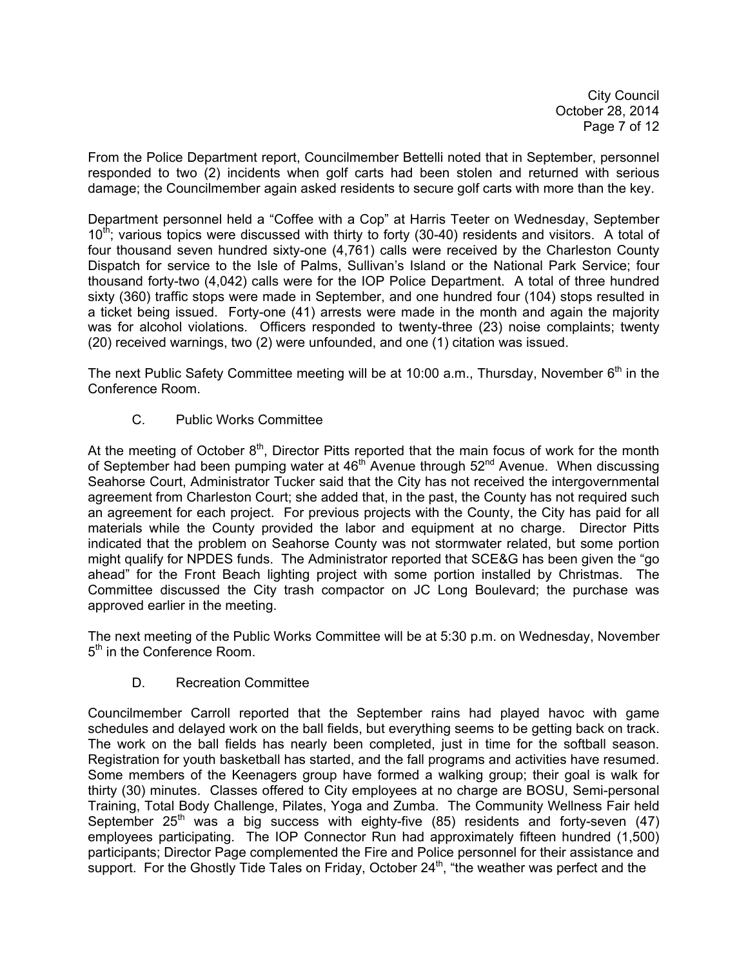City Council October 28, 2014 Page 7 of 12

From the Police Department report, Councilmember Bettelli noted that in September, personnel responded to two (2) incidents when golf carts had been stolen and returned with serious damage; the Councilmember again asked residents to secure golf carts with more than the key.

Department personnel held a "Coffee with a Cop" at Harris Teeter on Wednesday, September  $10<sup>th</sup>$ ; various topics were discussed with thirty to forty (30-40) residents and visitors. A total of four thousand seven hundred sixty-one (4,761) calls were received by the Charleston County Dispatch for service to the Isle of Palms, Sullivan's Island or the National Park Service; four thousand forty-two (4,042) calls were for the IOP Police Department. A total of three hundred sixty (360) traffic stops were made in September, and one hundred four (104) stops resulted in a ticket being issued. Forty-one (41) arrests were made in the month and again the majority was for alcohol violations. Officers responded to twenty-three (23) noise complaints; twenty (20) received warnings, two (2) were unfounded, and one (1) citation was issued.

The next Public Safety Committee meeting will be at 10:00 a.m., Thursday, November  $6<sup>th</sup>$  in the Conference Room.

C. Public Works Committee

At the meeting of October  $8<sup>th</sup>$ , Director Pitts reported that the main focus of work for the month of September had been pumping water at  $46<sup>th</sup>$  Avenue through  $52<sup>nd</sup>$  Avenue. When discussing Seahorse Court, Administrator Tucker said that the City has not received the intergovernmental agreement from Charleston Court; she added that, in the past, the County has not required such an agreement for each project. For previous projects with the County, the City has paid for all materials while the County provided the labor and equipment at no charge. Director Pitts indicated that the problem on Seahorse County was not stormwater related, but some portion might qualify for NPDES funds. The Administrator reported that SCE&G has been given the "go ahead" for the Front Beach lighting project with some portion installed by Christmas. The Committee discussed the City trash compactor on JC Long Boulevard; the purchase was approved earlier in the meeting.

The next meeting of the Public Works Committee will be at 5:30 p.m. on Wednesday, November 5<sup>th</sup> in the Conference Room.

D. Recreation Committee

Councilmember Carroll reported that the September rains had played havoc with game schedules and delayed work on the ball fields, but everything seems to be getting back on track. The work on the ball fields has nearly been completed, just in time for the softball season. Registration for youth basketball has started, and the fall programs and activities have resumed. Some members of the Keenagers group have formed a walking group; their goal is walk for thirty (30) minutes. Classes offered to City employees at no charge are BOSU, Semi-personal Training, Total Body Challenge, Pilates, Yoga and Zumba. The Community Wellness Fair held September  $25<sup>th</sup>$  was a big success with eighty-five (85) residents and forty-seven (47) employees participating. The IOP Connector Run had approximately fifteen hundred (1,500) participants; Director Page complemented the Fire and Police personnel for their assistance and support. For the Ghostly Tide Tales on Friday, October  $24<sup>th</sup>$ , "the weather was perfect and the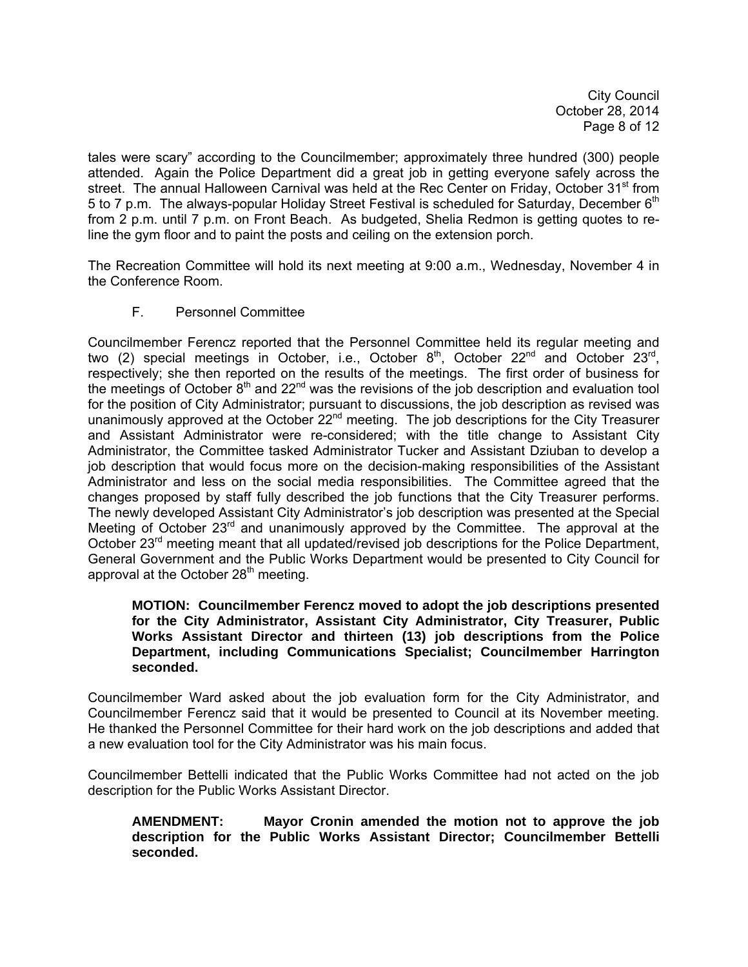City Council October 28, 2014 Page 8 of 12

tales were scary" according to the Councilmember; approximately three hundred (300) people attended. Again the Police Department did a great job in getting everyone safely across the street. The annual Halloween Carnival was held at the Rec Center on Friday, October 31<sup>st</sup> from 5 to 7 p.m. The always-popular Holiday Street Festival is scheduled for Saturday, December 6<sup>th</sup> from 2 p.m. until 7 p.m. on Front Beach. As budgeted, Shelia Redmon is getting quotes to reline the gym floor and to paint the posts and ceiling on the extension porch.

The Recreation Committee will hold its next meeting at 9:00 a.m., Wednesday, November 4 in the Conference Room.

F. Personnel Committee

Councilmember Ferencz reported that the Personnel Committee held its regular meeting and two (2) special meetings in October, i.e., October  $8<sup>th</sup>$ , October 22<sup>nd</sup> and October 23<sup>rd</sup>, respectively; she then reported on the results of the meetings. The first order of business for the meetings of October  $8<sup>th</sup>$  and  $22<sup>nd</sup>$  was the revisions of the job description and evaluation tool for the position of City Administrator; pursuant to discussions, the job description as revised was unanimously approved at the October 22<sup>nd</sup> meeting. The job descriptions for the City Treasurer and Assistant Administrator were re-considered; with the title change to Assistant City Administrator, the Committee tasked Administrator Tucker and Assistant Dziuban to develop a job description that would focus more on the decision-making responsibilities of the Assistant Administrator and less on the social media responsibilities. The Committee agreed that the changes proposed by staff fully described the job functions that the City Treasurer performs. The newly developed Assistant City Administrator's job description was presented at the Special Meeting of October 23<sup>rd</sup> and unanimously approved by the Committee. The approval at the October 23<sup>rd</sup> meeting meant that all updated/revised job descriptions for the Police Department, General Government and the Public Works Department would be presented to City Council for approval at the October  $28<sup>th</sup>$  meeting.

## **MOTION: Councilmember Ferencz moved to adopt the job descriptions presented for the City Administrator, Assistant City Administrator, City Treasurer, Public Works Assistant Director and thirteen (13) job descriptions from the Police Department, including Communications Specialist; Councilmember Harrington seconded.**

Councilmember Ward asked about the job evaluation form for the City Administrator, and Councilmember Ferencz said that it would be presented to Council at its November meeting. He thanked the Personnel Committee for their hard work on the job descriptions and added that a new evaluation tool for the City Administrator was his main focus.

Councilmember Bettelli indicated that the Public Works Committee had not acted on the job description for the Public Works Assistant Director.

**AMENDMENT: Mayor Cronin amended the motion not to approve the job description for the Public Works Assistant Director; Councilmember Bettelli seconded.**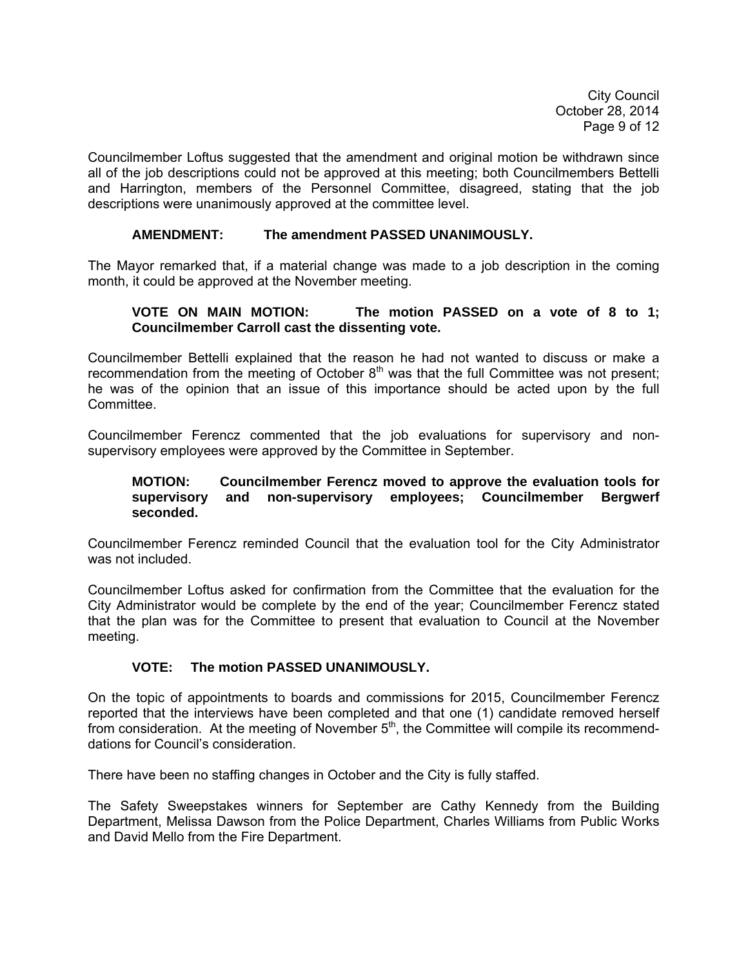City Council October 28, 2014 Page 9 of 12

Councilmember Loftus suggested that the amendment and original motion be withdrawn since all of the job descriptions could not be approved at this meeting; both Councilmembers Bettelli and Harrington, members of the Personnel Committee, disagreed, stating that the job descriptions were unanimously approved at the committee level.

## **AMENDMENT: The amendment PASSED UNANIMOUSLY.**

The Mayor remarked that, if a material change was made to a job description in the coming month, it could be approved at the November meeting.

## **VOTE ON MAIN MOTION: The motion PASSED on a vote of 8 to 1; Councilmember Carroll cast the dissenting vote.**

Councilmember Bettelli explained that the reason he had not wanted to discuss or make a recommendation from the meeting of October  $8<sup>th</sup>$  was that the full Committee was not present; he was of the opinion that an issue of this importance should be acted upon by the full Committee.

Councilmember Ferencz commented that the job evaluations for supervisory and nonsupervisory employees were approved by the Committee in September.

### **MOTION: Councilmember Ferencz moved to approve the evaluation tools for supervisory and non-supervisory employees; Councilmember Bergwerf seconded.**

Councilmember Ferencz reminded Council that the evaluation tool for the City Administrator was not included.

Councilmember Loftus asked for confirmation from the Committee that the evaluation for the City Administrator would be complete by the end of the year; Councilmember Ferencz stated that the plan was for the Committee to present that evaluation to Council at the November meeting.

# **VOTE: The motion PASSED UNANIMOUSLY.**

On the topic of appointments to boards and commissions for 2015, Councilmember Ferencz reported that the interviews have been completed and that one (1) candidate removed herself from consideration. At the meeting of November  $5<sup>th</sup>$ , the Committee will compile its recommenddations for Council's consideration.

There have been no staffing changes in October and the City is fully staffed.

The Safety Sweepstakes winners for September are Cathy Kennedy from the Building Department, Melissa Dawson from the Police Department, Charles Williams from Public Works and David Mello from the Fire Department.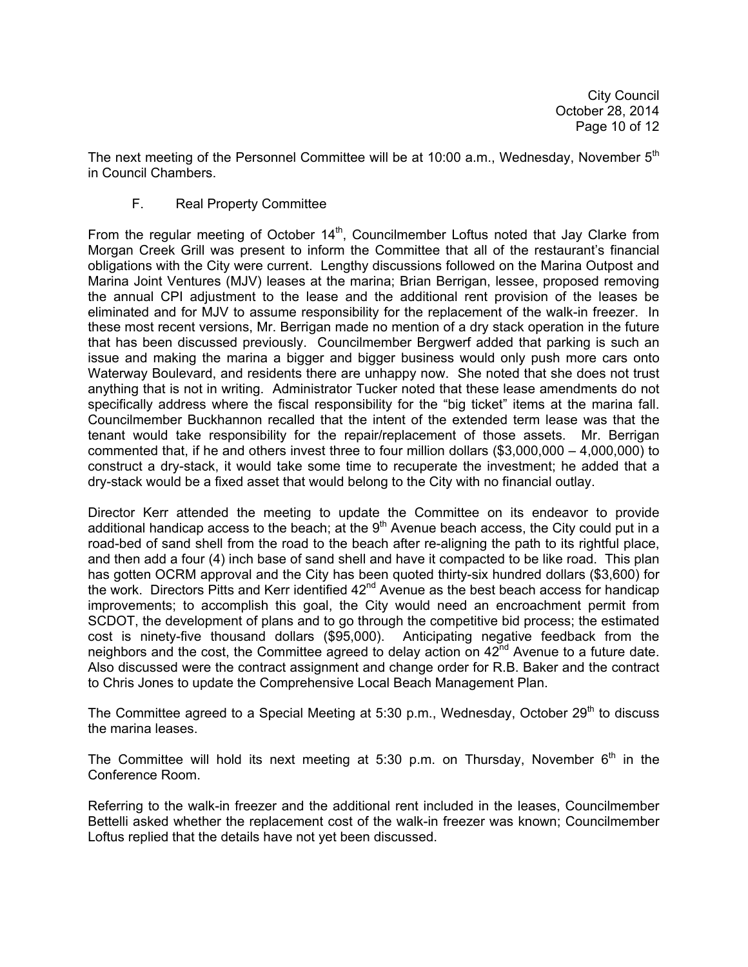The next meeting of the Personnel Committee will be at 10:00 a.m., Wednesday, November  $5<sup>th</sup>$ in Council Chambers.

# F. Real Property Committee

From the regular meeting of October  $14<sup>th</sup>$ , Councilmember Loftus noted that Jay Clarke from Morgan Creek Grill was present to inform the Committee that all of the restaurant's financial obligations with the City were current. Lengthy discussions followed on the Marina Outpost and Marina Joint Ventures (MJV) leases at the marina; Brian Berrigan, lessee, proposed removing the annual CPI adjustment to the lease and the additional rent provision of the leases be eliminated and for MJV to assume responsibility for the replacement of the walk-in freezer. In these most recent versions, Mr. Berrigan made no mention of a dry stack operation in the future that has been discussed previously. Councilmember Bergwerf added that parking is such an issue and making the marina a bigger and bigger business would only push more cars onto Waterway Boulevard, and residents there are unhappy now. She noted that she does not trust anything that is not in writing. Administrator Tucker noted that these lease amendments do not specifically address where the fiscal responsibility for the "big ticket" items at the marina fall. Councilmember Buckhannon recalled that the intent of the extended term lease was that the tenant would take responsibility for the repair/replacement of those assets. Mr. Berrigan commented that, if he and others invest three to four million dollars (\$3,000,000 – 4,000,000) to construct a dry-stack, it would take some time to recuperate the investment; he added that a dry-stack would be a fixed asset that would belong to the City with no financial outlay.

Director Kerr attended the meeting to update the Committee on its endeavor to provide additional handicap access to the beach; at the  $9<sup>th</sup>$  Avenue beach access, the City could put in a road-bed of sand shell from the road to the beach after re-aligning the path to its rightful place, and then add a four (4) inch base of sand shell and have it compacted to be like road. This plan has gotten OCRM approval and the City has been quoted thirty-six hundred dollars (\$3,600) for the work. Directors Pitts and Kerr identified  $42<sup>nd</sup>$  Avenue as the best beach access for handicap improvements; to accomplish this goal, the City would need an encroachment permit from SCDOT, the development of plans and to go through the competitive bid process; the estimated cost is ninety-five thousand dollars (\$95,000). Anticipating negative feedback from the neighbors and the cost, the Committee agreed to delay action on 42<sup>nd</sup> Avenue to a future date. Also discussed were the contract assignment and change order for R.B. Baker and the contract to Chris Jones to update the Comprehensive Local Beach Management Plan.

The Committee agreed to a Special Meeting at 5:30 p.m., Wednesday, October 29<sup>th</sup> to discuss the marina leases.

The Committee will hold its next meeting at 5:30 p.m. on Thursday, November  $6<sup>th</sup>$  in the Conference Room.

Referring to the walk-in freezer and the additional rent included in the leases, Councilmember Bettelli asked whether the replacement cost of the walk-in freezer was known; Councilmember Loftus replied that the details have not yet been discussed.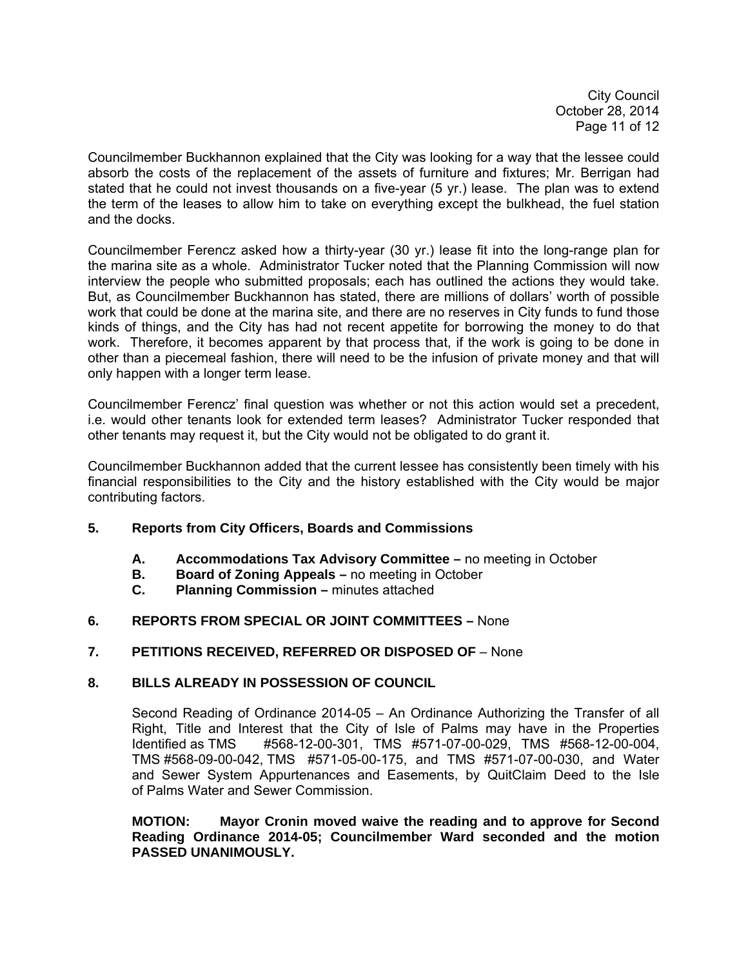City Council October 28, 2014 Page 11 of 12

Councilmember Buckhannon explained that the City was looking for a way that the lessee could absorb the costs of the replacement of the assets of furniture and fixtures; Mr. Berrigan had stated that he could not invest thousands on a five-year (5 yr.) lease. The plan was to extend the term of the leases to allow him to take on everything except the bulkhead, the fuel station and the docks.

Councilmember Ferencz asked how a thirty-year (30 yr.) lease fit into the long-range plan for the marina site as a whole. Administrator Tucker noted that the Planning Commission will now interview the people who submitted proposals; each has outlined the actions they would take. But, as Councilmember Buckhannon has stated, there are millions of dollars' worth of possible work that could be done at the marina site, and there are no reserves in City funds to fund those kinds of things, and the City has had not recent appetite for borrowing the money to do that work. Therefore, it becomes apparent by that process that, if the work is going to be done in other than a piecemeal fashion, there will need to be the infusion of private money and that will only happen with a longer term lease.

Councilmember Ferencz' final question was whether or not this action would set a precedent, i.e. would other tenants look for extended term leases? Administrator Tucker responded that other tenants may request it, but the City would not be obligated to do grant it.

Councilmember Buckhannon added that the current lessee has consistently been timely with his financial responsibilities to the City and the history established with the City would be major contributing factors.

# **5. Reports from City Officers, Boards and Commissions**

- **A. Accommodations Tax Advisory Committee** no meeting in October
- **B. Board of Zoning Appeals** no meeting in October
- **C. Planning Commission** minutes attached

# **6. REPORTS FROM SPECIAL OR JOINT COMMITTEES –** None

#### **7. PETITIONS RECEIVED, REFERRED OR DISPOSED OF** – None

#### **8. BILLS ALREADY IN POSSESSION OF COUNCIL**

 Second Reading of Ordinance 2014-05 – An Ordinance Authorizing the Transfer of all Right, Title and Interest that the City of Isle of Palms may have in the Properties Identified as TMS #568-12-00-301, TMS #571-07-00-029, TMS #568-12-00-004, TMS #568-09-00-042, TMS #571-05-00-175, and TMS #571-07-00-030, and Water and Sewer System Appurtenances and Easements, by QuitClaim Deed to the Isle of Palms Water and Sewer Commission.

**MOTION: Mayor Cronin moved waive the reading and to approve for Second Reading Ordinance 2014-05; Councilmember Ward seconded and the motion PASSED UNANIMOUSLY.**